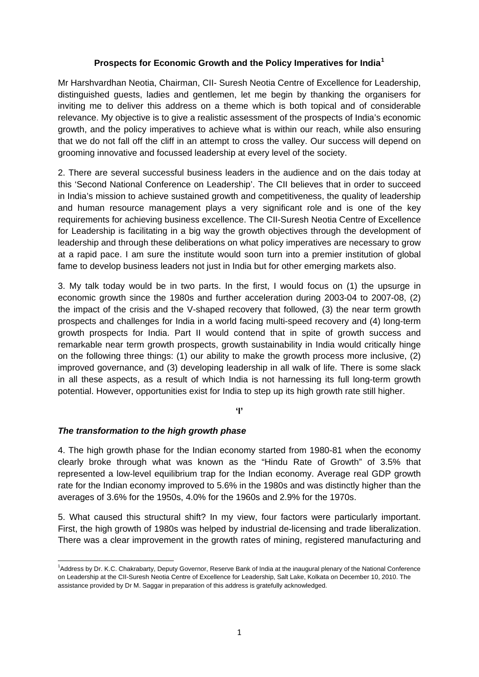### **Prospects for Economic Growth and the Policy Imperatives for India[1](#page-0-0)**

Mr Harshvardhan Neotia, Chairman, CII- Suresh Neotia Centre of Excellence for Leadership, distinguished guests, ladies and gentlemen, let me begin by thanking the organisers for inviting me to deliver this address on a theme which is both topical and of considerable relevance. My objective is to give a realistic assessment of the prospects of India's economic growth, and the policy imperatives to achieve what is within our reach, while also ensuring that we do not fall off the cliff in an attempt to cross the valley. Our success will depend on grooming innovative and focussed leadership at every level of the society.

2. There are several successful business leaders in the audience and on the dais today at this 'Second National Conference on Leadership'. The CII believes that in order to succeed in India's mission to achieve sustained growth and competitiveness, the quality of leadership and human resource management plays a very significant role and is one of the key requirements for achieving business excellence. The CII-Suresh Neotia Centre of Excellence for Leadership is facilitating in a big way the growth objectives through the development of leadership and through these deliberations on what policy imperatives are necessary to grow at a rapid pace. I am sure the institute would soon turn into a premier institution of global fame to develop business leaders not just in India but for other emerging markets also.

3. My talk today would be in two parts. In the first, I would focus on (1) the upsurge in economic growth since the 1980s and further acceleration during 2003-04 to 2007-08, (2) the impact of the crisis and the V-shaped recovery that followed, (3) the near term growth prospects and challenges for India in a world facing multi-speed recovery and (4) long-term growth prospects for India. Part II would contend that in spite of growth success and remarkable near term growth prospects, growth sustainability in India would critically hinge on the following three things: (1) our ability to make the growth process more inclusive, (2) improved governance, and (3) developing leadership in all walk of life. There is some slack in all these aspects, as a result of which India is not harnessing its full long-term growth potential. However, opportunities exist for India to step up its high growth rate still higher.

**'I'** 

## *The transformation to the high growth phase*

4. The high growth phase for the Indian economy started from 1980-81 when the economy clearly broke through what was known as the "Hindu Rate of Growth" of 3.5% that represented a low-level equilibrium trap for the Indian economy. Average real GDP growth rate for the Indian economy improved to 5.6% in the 1980s and was distinctly higher than the averages of 3.6% for the 1950s, 4.0% for the 1960s and 2.9% for the 1970s.

5. What caused this structural shift? In my view, four factors were particularly important. First, the high growth of 1980s was helped by industrial de-licensing and trade liberalization. There was a clear improvement in the growth rates of mining, registered manufacturing and

<span id="page-0-0"></span> 1 Address by Dr. K.C. Chakrabarty, Deputy Governor, Reserve Bank of India at the inaugural plenary of the National Conference on Leadership at the CII-Suresh Neotia Centre of Excellence for Leadership, Salt Lake, Kolkata on December 10, 2010. The assistance provided by Dr M. Saggar in preparation of this address is gratefully acknowledged.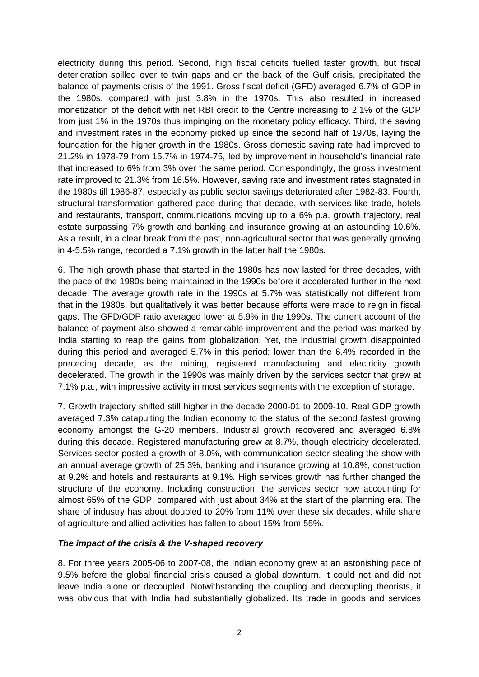electricity during this period. Second, high fiscal deficits fuelled faster growth, but fiscal deterioration spilled over to twin gaps and on the back of the Gulf crisis, precipitated the balance of payments crisis of the 1991. Gross fiscal deficit (GFD) averaged 6.7% of GDP in the 1980s, compared with just 3.8% in the 1970s. This also resulted in increased monetization of the deficit with net RBI credit to the Centre increasing to 2.1% of the GDP from just 1% in the 1970s thus impinging on the monetary policy efficacy. Third, the saving and investment rates in the economy picked up since the second half of 1970s, laying the foundation for the higher growth in the 1980s. Gross domestic saving rate had improved to 21.2% in 1978-79 from 15.7% in 1974-75, led by improvement in household's financial rate that increased to 6% from 3% over the same period. Correspondingly, the gross investment rate improved to 21.3% from 16.5%. However, saving rate and investment rates stagnated in the 1980s till 1986-87, especially as public sector savings deteriorated after 1982-83. Fourth, structural transformation gathered pace during that decade, with services like trade, hotels and restaurants, transport, communications moving up to a 6% p.a. growth trajectory, real estate surpassing 7% growth and banking and insurance growing at an astounding 10.6%. As a result, in a clear break from the past, non-agricultural sector that was generally growing in 4-5.5% range, recorded a 7.1% growth in the latter half the 1980s.

6. The high growth phase that started in the 1980s has now lasted for three decades, with the pace of the 1980s being maintained in the 1990s before it accelerated further in the next decade. The average growth rate in the 1990s at 5.7% was statistically not different from that in the 1980s, but qualitatively it was better because efforts were made to reign in fiscal gaps. The GFD/GDP ratio averaged lower at 5.9% in the 1990s. The current account of the balance of payment also showed a remarkable improvement and the period was marked by India starting to reap the gains from globalization. Yet, the industrial growth disappointed during this period and averaged 5.7% in this period; lower than the 6.4% recorded in the preceding decade, as the mining, registered manufacturing and electricity growth decelerated. The growth in the 1990s was mainly driven by the services sector that grew at 7.1% p.a., with impressive activity in most services segments with the exception of storage.

7. Growth trajectory shifted still higher in the decade 2000-01 to 2009-10. Real GDP growth averaged 7.3% catapulting the Indian economy to the status of the second fastest growing economy amongst the G-20 members. Industrial growth recovered and averaged 6.8% during this decade. Registered manufacturing grew at 8.7%, though electricity decelerated. Services sector posted a growth of 8.0%, with communication sector stealing the show with an annual average growth of 25.3%, banking and insurance growing at 10.8%, construction at 9.2% and hotels and restaurants at 9.1%. High services growth has further changed the structure of the economy. Including construction, the services sector now accounting for almost 65% of the GDP, compared with just about 34% at the start of the planning era. The share of industry has about doubled to 20% from 11% over these six decades, while share of agriculture and allied activities has fallen to about 15% from 55%.

## *The impact of the crisis & the V-shaped recovery*

8. For three years 2005-06 to 2007-08, the Indian economy grew at an astonishing pace of 9.5% before the global financial crisis caused a global downturn. It could not and did not leave India alone or decoupled. Notwithstanding the coupling and decoupling theorists, it was obvious that with India had substantially globalized. Its trade in goods and services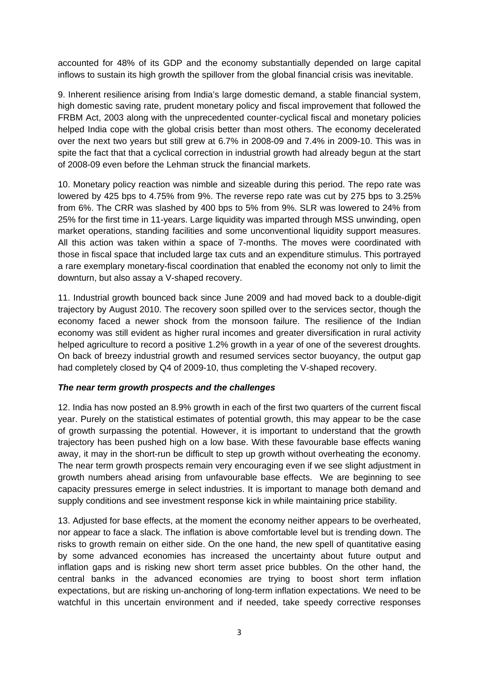accounted for 48% of its GDP and the economy substantially depended on large capital inflows to sustain its high growth the spillover from the global financial crisis was inevitable.

9. Inherent resilience arising from India's large domestic demand, a stable financial system, high domestic saving rate, prudent monetary policy and fiscal improvement that followed the FRBM Act, 2003 along with the unprecedented counter-cyclical fiscal and monetary policies helped India cope with the global crisis better than most others. The economy decelerated over the next two years but still grew at 6.7% in 2008-09 and 7.4% in 2009-10. This was in spite the fact that that a cyclical correction in industrial growth had already begun at the start of 2008-09 even before the Lehman struck the financial markets.

10. Monetary policy reaction was nimble and sizeable during this period. The repo rate was lowered by 425 bps to 4.75% from 9%. The reverse repo rate was cut by 275 bps to 3.25% from 6%. The CRR was slashed by 400 bps to 5% from 9%. SLR was lowered to 24% from 25% for the first time in 11-years. Large liquidity was imparted through MSS unwinding, open market operations, standing facilities and some unconventional liquidity support measures. All this action was taken within a space of 7-months. The moves were coordinated with those in fiscal space that included large tax cuts and an expenditure stimulus. This portrayed a rare exemplary monetary-fiscal coordination that enabled the economy not only to limit the downturn, but also assay a V-shaped recovery.

11. Industrial growth bounced back since June 2009 and had moved back to a double-digit trajectory by August 2010. The recovery soon spilled over to the services sector, though the economy faced a newer shock from the monsoon failure. The resilience of the Indian economy was still evident as higher rural incomes and greater diversification in rural activity helped agriculture to record a positive 1.2% growth in a year of one of the severest droughts. On back of breezy industrial growth and resumed services sector buoyancy, the output gap had completely closed by Q4 of 2009-10, thus completing the V-shaped recovery.

## *The near term growth prospects and the challenges*

12. India has now posted an 8.9% growth in each of the first two quarters of the current fiscal year. Purely on the statistical estimates of potential growth, this may appear to be the case of growth surpassing the potential. However, it is important to understand that the growth trajectory has been pushed high on a low base. With these favourable base effects waning away, it may in the short-run be difficult to step up growth without overheating the economy. The near term growth prospects remain very encouraging even if we see slight adjustment in growth numbers ahead arising from unfavourable base effects. We are beginning to see capacity pressures emerge in select industries. It is important to manage both demand and supply conditions and see investment response kick in while maintaining price stability.

13. Adjusted for base effects, at the moment the economy neither appears to be overheated, nor appear to face a slack. The inflation is above comfortable level but is trending down. The risks to growth remain on either side. On the one hand, the new spell of quantitative easing by some advanced economies has increased the uncertainty about future output and inflation gaps and is risking new short term asset price bubbles. On the other hand, the central banks in the advanced economies are trying to boost short term inflation expectations, but are risking un-anchoring of long-term inflation expectations. We need to be watchful in this uncertain environment and if needed, take speedy corrective responses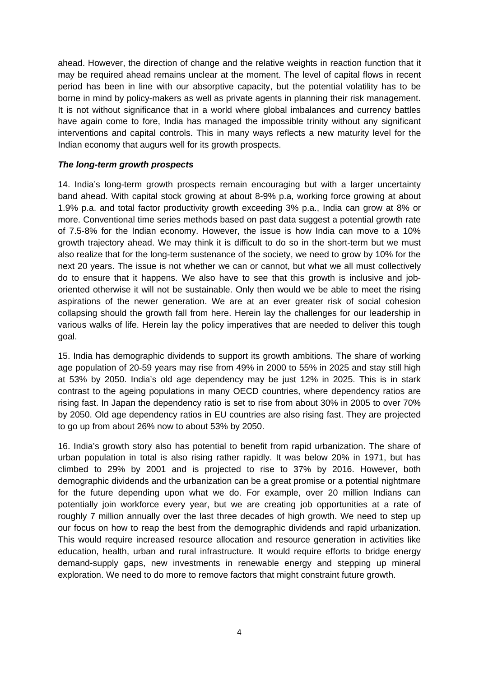ahead. However, the direction of change and the relative weights in reaction function that it may be required ahead remains unclear at the moment. The level of capital flows in recent period has been in line with our absorptive capacity, but the potential volatility has to be borne in mind by policy-makers as well as private agents in planning their risk management. It is not without significance that in a world where global imbalances and currency battles have again come to fore, India has managed the impossible trinity without any significant interventions and capital controls. This in many ways reflects a new maturity level for the Indian economy that augurs well for its growth prospects.

# *The long-term growth prospects*

14. India's long-term growth prospects remain encouraging but with a larger uncertainty band ahead. With capital stock growing at about 8-9% p.a, working force growing at about 1.9% p.a. and total factor productivity growth exceeding 3% p.a., India can grow at 8% or more. Conventional time series methods based on past data suggest a potential growth rate of 7.5-8% for the Indian economy. However, the issue is how India can move to a 10% growth trajectory ahead. We may think it is difficult to do so in the short-term but we must also realize that for the long-term sustenance of the society, we need to grow by 10% for the next 20 years. The issue is not whether we can or cannot, but what we all must collectively do to ensure that it happens. We also have to see that this growth is inclusive and joboriented otherwise it will not be sustainable. Only then would we be able to meet the rising aspirations of the newer generation. We are at an ever greater risk of social cohesion collapsing should the growth fall from here. Herein lay the challenges for our leadership in various walks of life. Herein lay the policy imperatives that are needed to deliver this tough goal.

15. India has demographic dividends to support its growth ambitions. The share of working age population of 20-59 years may rise from 49% in 2000 to 55% in 2025 and stay still high at 53% by 2050. India's old age dependency may be just 12% in 2025. This is in stark contrast to the ageing populations in many OECD countries, where dependency ratios are rising fast. In Japan the dependency ratio is set to rise from about 30% in 2005 to over 70% by 2050. Old age dependency ratios in EU countries are also rising fast. They are projected to go up from about 26% now to about 53% by 2050.

16. India's growth story also has potential to benefit from rapid urbanization. The share of urban population in total is also rising rather rapidly. It was below 20% in 1971, but has climbed to 29% by 2001 and is projected to rise to 37% by 2016. However, both demographic dividends and the urbanization can be a great promise or a potential nightmare for the future depending upon what we do. For example, over 20 million Indians can potentially join workforce every year, but we are creating job opportunities at a rate of roughly 7 million annually over the last three decades of high growth. We need to step up our focus on how to reap the best from the demographic dividends and rapid urbanization. This would require increased resource allocation and resource generation in activities like education, health, urban and rural infrastructure. It would require efforts to bridge energy demand-supply gaps, new investments in renewable energy and stepping up mineral exploration. We need to do more to remove factors that might constraint future growth.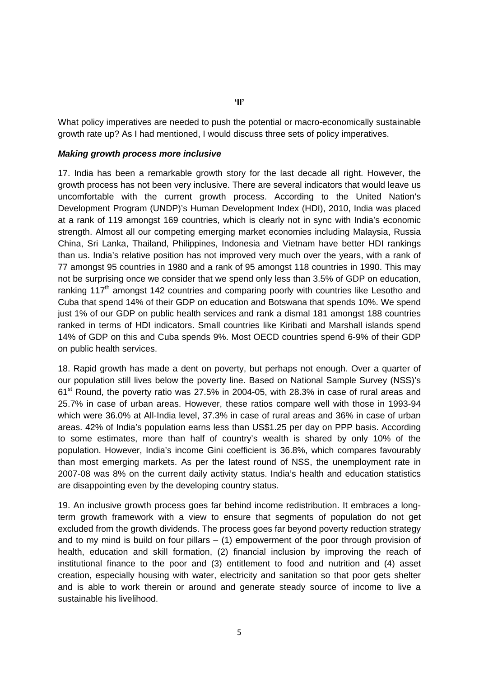What policy imperatives are needed to push the potential or macro-economically sustainable growth rate up? As I had mentioned, I would discuss three sets of policy imperatives.

### *Making growth process more inclusive*

17. India has been a remarkable growth story for the last decade all right. However, the growth process has not been very inclusive. There are several indicators that would leave us uncomfortable with the current growth process. According to the United Nation's Development Program (UNDP)'s Human Development Index (HDI), 2010, India was placed at a rank of 119 amongst 169 countries, which is clearly not in sync with India's economic strength. Almost all our competing emerging market economies including Malaysia, Russia China, Sri Lanka, Thailand, Philippines, Indonesia and Vietnam have better HDI rankings than us. India's relative position has not improved very much over the years, with a rank of 77 amongst 95 countries in 1980 and a rank of 95 amongst 118 countries in 1990. This may not be surprising once we consider that we spend only less than 3.5% of GDP on education, ranking 117<sup>th</sup> amongst 142 countries and comparing poorly with countries like Lesotho and Cuba that spend 14% of their GDP on education and Botswana that spends 10%. We spend just 1% of our GDP on public health services and rank a dismal 181 amongst 188 countries ranked in terms of HDI indicators. Small countries like Kiribati and Marshall islands spend 14% of GDP on this and Cuba spends 9%. Most OECD countries spend 6-9% of their GDP on public health services.

18. Rapid growth has made a dent on poverty, but perhaps not enough. Over a quarter of our population still lives below the poverty line. Based on National Sample Survey (NSS)'s  $61<sup>st</sup>$  Round, the poverty ratio was 27.5% in 2004-05, with 28.3% in case of rural areas and 25.7% in case of urban areas. However, these ratios compare well with those in 1993-94 which were 36.0% at All-India level, 37.3% in case of rural areas and 36% in case of urban areas. 42% of India's population earns less than US\$1.25 per day on PPP basis. According to some estimates, more than half of country's wealth is shared by only 10% of the population. However, India's income Gini coefficient is 36.8%, which compares favourably than most emerging markets. As per the latest round of NSS, the unemployment rate in 2007-08 was 8% on the current daily activity status. India's health and education statistics are disappointing even by the developing country status.

19. An inclusive growth process goes far behind income redistribution. It embraces a longterm growth framework with a view to ensure that segments of population do not get excluded from the growth dividends. The process goes far beyond poverty reduction strategy and to my mind is build on four pillars  $-$  (1) empowerment of the poor through provision of health, education and skill formation, (2) financial inclusion by improving the reach of institutional finance to the poor and (3) entitlement to food and nutrition and (4) asset creation, especially housing with water, electricity and sanitation so that poor gets shelter and is able to work therein or around and generate steady source of income to live a sustainable his livelihood.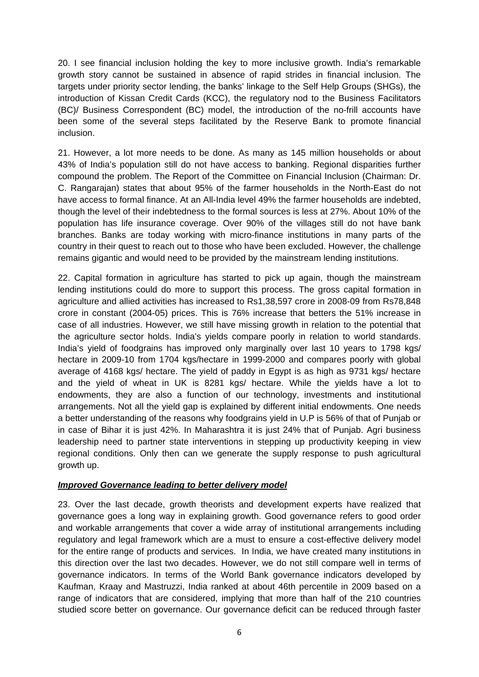20. I see financial inclusion holding the key to more inclusive growth. India's remarkable growth story cannot be sustained in absence of rapid strides in financial inclusion. The targets under priority sector lending, the banks' linkage to the Self Help Groups (SHGs), the introduction of Kissan Credit Cards (KCC), the regulatory nod to the Business Facilitators (BC)/ Business Correspondent (BC) model, the introduction of the no-frill accounts have been some of the several steps facilitated by the Reserve Bank to promote financial inclusion.

21. However, a lot more needs to be done. As many as 145 million households or about 43% of India's population still do not have access to banking. Regional disparities further compound the problem. The Report of the Committee on Financial Inclusion (Chairman: Dr. C. Rangarajan) states that about 95% of the farmer households in the North-East do not have access to formal finance. At an All-India level 49% the farmer households are indebted, though the level of their indebtedness to the formal sources is less at 27%. About 10% of the population has life insurance coverage. Over 90% of the villages still do not have bank branches. Banks are today working with micro-finance institutions in many parts of the country in their quest to reach out to those who have been excluded. However, the challenge remains gigantic and would need to be provided by the mainstream lending institutions.

22. Capital formation in agriculture has started to pick up again, though the mainstream lending institutions could do more to support this process. The gross capital formation in agriculture and allied activities has increased to Rs1,38,597 crore in 2008-09 from Rs78,848 crore in constant (2004-05) prices. This is 76% increase that betters the 51% increase in case of all industries. However, we still have missing growth in relation to the potential that the agriculture sector holds. India's yields compare poorly in relation to world standards. India's yield of foodgrains has improved only marginally over last 10 years to 1798 kgs/ hectare in 2009-10 from 1704 kgs/hectare in 1999-2000 and compares poorly with global average of 4168 kgs/ hectare. The yield of paddy in Egypt is as high as 9731 kgs/ hectare and the yield of wheat in UK is 8281 kgs/ hectare. While the yields have a lot to endowments, they are also a function of our technology, investments and institutional arrangements. Not all the yield gap is explained by different initial endowments. One needs a better understanding of the reasons why foodgrains yield in U.P is 56% of that of Punjab or in case of Bihar it is just 42%. In Maharashtra it is just 24% that of Punjab. Agri business leadership need to partner state interventions in stepping up productivity keeping in view regional conditions. Only then can we generate the supply response to push agricultural growth up.

## *Improved Governance leading to better delivery model*

23. Over the last decade, growth theorists and development experts have realized that governance goes a long way in explaining growth. Good governance refers to good order and workable arrangements that cover a wide array of institutional arrangements including regulatory and legal framework which are a must to ensure a cost-effective delivery model for the entire range of products and services. In India, we have created many institutions in this direction over the last two decades. However, we do not still compare well in terms of governance indicators. In terms of the World Bank governance indicators developed by Kaufman, Kraay and Mastruzzi, India ranked at about 46th percentile in 2009 based on a range of indicators that are considered, implying that more than half of the 210 countries studied score better on governance. Our governance deficit can be reduced through faster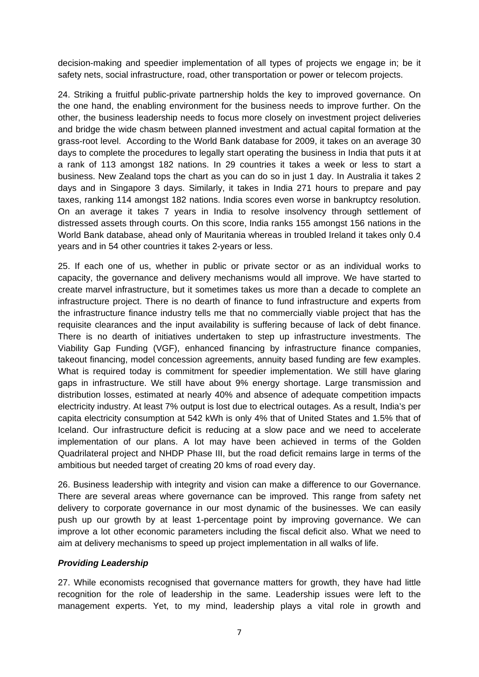decision-making and speedier implementation of all types of projects we engage in; be it safety nets, social infrastructure, road, other transportation or power or telecom projects.

24. Striking a fruitful public-private partnership holds the key to improved governance. On the one hand, the enabling environment for the business needs to improve further. On the other, the business leadership needs to focus more closely on investment project deliveries and bridge the wide chasm between planned investment and actual capital formation at the grass-root level. According to the World Bank database for 2009, it takes on an average 30 days to complete the procedures to legally start operating the business in India that puts it at a rank of 113 amongst 182 nations. In 29 countries it takes a week or less to start a business. New Zealand tops the chart as you can do so in just 1 day. In Australia it takes 2 days and in Singapore 3 days. Similarly, it takes in India 271 hours to prepare and pay taxes, ranking 114 amongst 182 nations. India scores even worse in bankruptcy resolution. On an average it takes 7 years in India to resolve insolvency through settlement of distressed assets through courts. On this score, India ranks 155 amongst 156 nations in the World Bank database, ahead only of Mauritania whereas in troubled Ireland it takes only 0.4 years and in 54 other countries it takes 2-years or less.

25. If each one of us, whether in public or private sector or as an individual works to capacity, the governance and delivery mechanisms would all improve. We have started to create marvel infrastructure, but it sometimes takes us more than a decade to complete an infrastructure project. There is no dearth of finance to fund infrastructure and experts from the infrastructure finance industry tells me that no commercially viable project that has the requisite clearances and the input availability is suffering because of lack of debt finance. There is no dearth of initiatives undertaken to step up infrastructure investments. The Viability Gap Funding (VGF), enhanced financing by infrastructure finance companies, takeout financing, model concession agreements, annuity based funding are few examples. What is required today is commitment for speedier implementation. We still have glaring gaps in infrastructure. We still have about 9% energy shortage. Large transmission and distribution losses, estimated at nearly 40% and absence of adequate competition impacts electricity industry. At least 7% output is lost due to electrical outages. As a result, India's per capita electricity consumption at 542 kWh is only 4% that of United States and 1.5% that of Iceland. Our infrastructure deficit is reducing at a slow pace and we need to accelerate implementation of our plans. A lot may have been achieved in terms of the Golden Quadrilateral project and NHDP Phase III, but the road deficit remains large in terms of the ambitious but needed target of creating 20 kms of road every day.

26. Business leadership with integrity and vision can make a difference to our Governance. There are several areas where governance can be improved. This range from safety net delivery to corporate governance in our most dynamic of the businesses. We can easily push up our growth by at least 1-percentage point by improving governance. We can improve a lot other economic parameters including the fiscal deficit also. What we need to aim at delivery mechanisms to speed up project implementation in all walks of life.

## *Providing Leadership*

27. While economists recognised that governance matters for growth, they have had little recognition for the role of leadership in the same. Leadership issues were left to the management experts. Yet, to my mind, leadership plays a vital role in growth and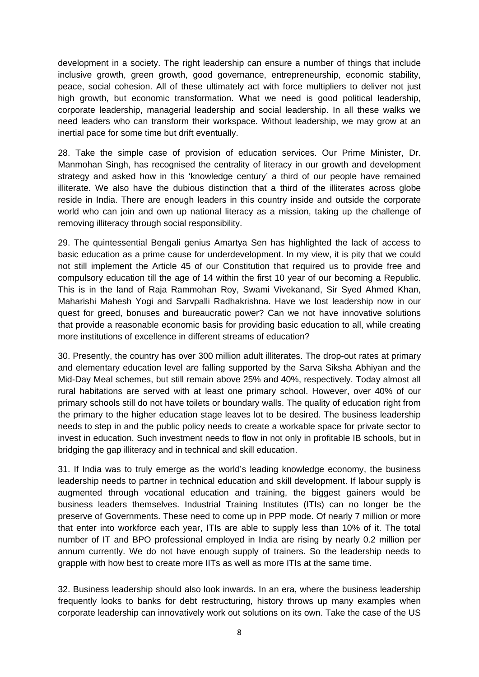development in a society. The right leadership can ensure a number of things that include inclusive growth, green growth, good governance, entrepreneurship, economic stability, peace, social cohesion. All of these ultimately act with force multipliers to deliver not just high growth, but economic transformation. What we need is good political leadership, corporate leadership, managerial leadership and social leadership. In all these walks we need leaders who can transform their workspace. Without leadership, we may grow at an inertial pace for some time but drift eventually.

28. Take the simple case of provision of education services. Our Prime Minister, Dr. Manmohan Singh, has recognised the centrality of literacy in our growth and development strategy and asked how in this 'knowledge century' a third of our people have remained illiterate. We also have the dubious distinction that a third of the illiterates across globe reside in India. There are enough leaders in this country inside and outside the corporate world who can join and own up national literacy as a mission, taking up the challenge of removing illiteracy through social responsibility.

29. The quintessential Bengali genius Amartya Sen has highlighted the lack of access to basic education as a prime cause for underdevelopment. In my view, it is pity that we could not still implement the Article 45 of our Constitution that required us to provide free and compulsory education till the age of 14 within the first 10 year of our becoming a Republic. This is in the land of Raja Rammohan Roy, Swami Vivekanand, Sir Syed Ahmed Khan, Maharishi Mahesh Yogi and Sarvpalli Radhakrishna. Have we lost leadership now in our quest for greed, bonuses and bureaucratic power? Can we not have innovative solutions that provide a reasonable economic basis for providing basic education to all, while creating more institutions of excellence in different streams of education?

30. Presently, the country has over 300 million adult illiterates. The drop-out rates at primary and elementary education level are falling supported by the Sarva Siksha Abhiyan and the Mid-Day Meal schemes, but still remain above 25% and 40%, respectively. Today almost all rural habitations are served with at least one primary school. However, over 40% of our primary schools still do not have toilets or boundary walls. The quality of education right from the primary to the higher education stage leaves lot to be desired. The business leadership needs to step in and the public policy needs to create a workable space for private sector to invest in education. Such investment needs to flow in not only in profitable IB schools, but in bridging the gap illiteracy and in technical and skill education.

31. If India was to truly emerge as the world's leading knowledge economy, the business leadership needs to partner in technical education and skill development. If labour supply is augmented through vocational education and training, the biggest gainers would be business leaders themselves. Industrial Training Institutes (ITIs) can no longer be the preserve of Governments. These need to come up in PPP mode. Of nearly 7 million or more that enter into workforce each year, ITIs are able to supply less than 10% of it. The total number of IT and BPO professional employed in India are rising by nearly 0.2 million per annum currently. We do not have enough supply of trainers. So the leadership needs to grapple with how best to create more IITs as well as more ITIs at the same time.

32. Business leadership should also look inwards. In an era, where the business leadership frequently looks to banks for debt restructuring, history throws up many examples when corporate leadership can innovatively work out solutions on its own. Take the case of the US